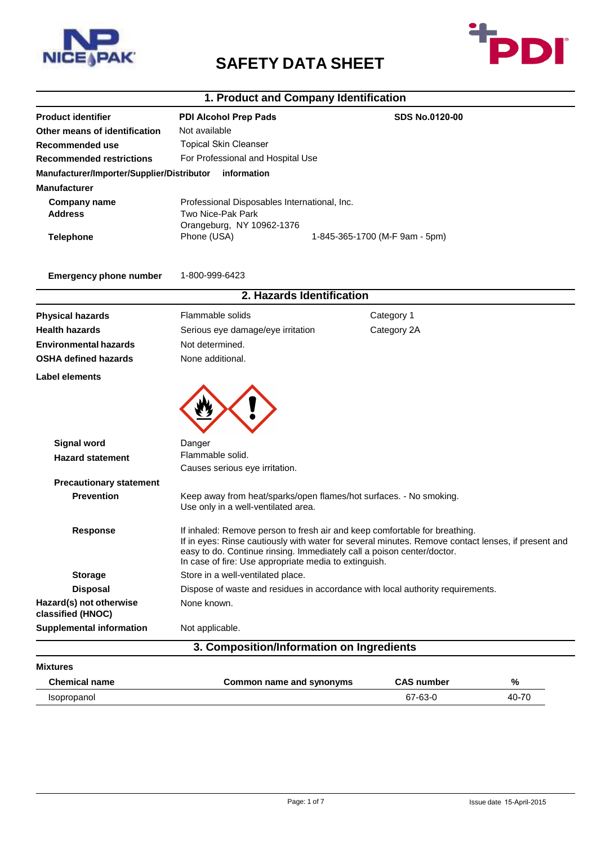

# **SAFETY DATA SHEET**



# **1. Product and Company Identification**

| <b>Product identifier</b>                     | <b>PDI Alcohol Prep Pads</b>                                                                                                                                                                                                                                                                                        |  | <b>SDS No.0120-00</b>          |       |  |
|-----------------------------------------------|---------------------------------------------------------------------------------------------------------------------------------------------------------------------------------------------------------------------------------------------------------------------------------------------------------------------|--|--------------------------------|-------|--|
| Other means of identification                 | Not available                                                                                                                                                                                                                                                                                                       |  |                                |       |  |
| <b>Recommended use</b>                        | <b>Topical Skin Cleanser</b>                                                                                                                                                                                                                                                                                        |  |                                |       |  |
| <b>Recommended restrictions</b>               | For Professional and Hospital Use                                                                                                                                                                                                                                                                                   |  |                                |       |  |
| Manufacturer/Importer/Supplier/Distributor    | information                                                                                                                                                                                                                                                                                                         |  |                                |       |  |
| <b>Manufacturer</b>                           |                                                                                                                                                                                                                                                                                                                     |  |                                |       |  |
| <b>Company name</b>                           | Professional Disposables International, Inc.                                                                                                                                                                                                                                                                        |  |                                |       |  |
| <b>Address</b>                                | Two Nice-Pak Park                                                                                                                                                                                                                                                                                                   |  |                                |       |  |
|                                               | Orangeburg, NY 10962-1376                                                                                                                                                                                                                                                                                           |  |                                |       |  |
| <b>Telephone</b>                              | Phone (USA)                                                                                                                                                                                                                                                                                                         |  | 1-845-365-1700 (M-F 9am - 5pm) |       |  |
| <b>Emergency phone number</b>                 | 1-800-999-6423                                                                                                                                                                                                                                                                                                      |  |                                |       |  |
|                                               | 2. Hazards Identification                                                                                                                                                                                                                                                                                           |  |                                |       |  |
| <b>Physical hazards</b>                       | Flammable solids                                                                                                                                                                                                                                                                                                    |  | Category 1                     |       |  |
| <b>Health hazards</b>                         | Serious eye damage/eye irritation                                                                                                                                                                                                                                                                                   |  | Category 2A                    |       |  |
| <b>Environmental hazards</b>                  | Not determined.                                                                                                                                                                                                                                                                                                     |  |                                |       |  |
| <b>OSHA defined hazards</b>                   | None additional.                                                                                                                                                                                                                                                                                                    |  |                                |       |  |
| Label elements                                |                                                                                                                                                                                                                                                                                                                     |  |                                |       |  |
| <b>Signal word</b><br><b>Hazard statement</b> | Danger<br>Flammable solid.                                                                                                                                                                                                                                                                                          |  |                                |       |  |
|                                               | Causes serious eye irritation.                                                                                                                                                                                                                                                                                      |  |                                |       |  |
| <b>Precautionary statement</b>                |                                                                                                                                                                                                                                                                                                                     |  |                                |       |  |
| <b>Prevention</b>                             | Keep away from heat/sparks/open flames/hot surfaces. - No smoking.<br>Use only in a well-ventilated area.                                                                                                                                                                                                           |  |                                |       |  |
| <b>Response</b>                               | If inhaled: Remove person to fresh air and keep comfortable for breathing.<br>If in eyes: Rinse cautiously with water for several minutes. Remove contact lenses, if present and<br>easy to do. Continue rinsing. Immediately call a poison center/doctor.<br>In case of fire: Use appropriate media to extinguish. |  |                                |       |  |
| <b>Storage</b>                                | Store in a well-ventilated place.                                                                                                                                                                                                                                                                                   |  |                                |       |  |
| <b>Disposal</b>                               | Dispose of waste and residues in accordance with local authority requirements.                                                                                                                                                                                                                                      |  |                                |       |  |
| Hazard(s) not otherwise<br>classified (HNOC)  | None known.                                                                                                                                                                                                                                                                                                         |  |                                |       |  |
| <b>Supplemental information</b>               | Not applicable.                                                                                                                                                                                                                                                                                                     |  |                                |       |  |
|                                               | 3. Composition/Information on Ingredients                                                                                                                                                                                                                                                                           |  |                                |       |  |
| <b>Mixtures</b>                               |                                                                                                                                                                                                                                                                                                                     |  |                                |       |  |
| <b>Chemical name</b>                          | <b>Common name and synonyms</b>                                                                                                                                                                                                                                                                                     |  | <b>CAS number</b>              | %     |  |
| Isopropanol                                   |                                                                                                                                                                                                                                                                                                                     |  | 67-63-0                        | 40-70 |  |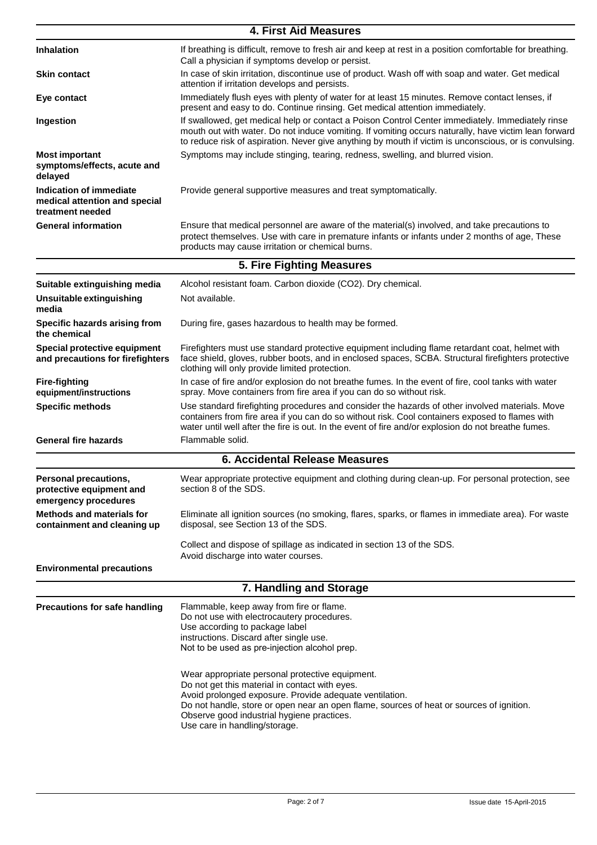|                                                                              | 4. First Aid Measures                                                                                                                                                                                                                                                                                                                   |
|------------------------------------------------------------------------------|-----------------------------------------------------------------------------------------------------------------------------------------------------------------------------------------------------------------------------------------------------------------------------------------------------------------------------------------|
| <b>Inhalation</b>                                                            | If breathing is difficult, remove to fresh air and keep at rest in a position comfortable for breathing.<br>Call a physician if symptoms develop or persist.                                                                                                                                                                            |
| <b>Skin contact</b>                                                          | In case of skin irritation, discontinue use of product. Wash off with soap and water. Get medical<br>attention if irritation develops and persists.                                                                                                                                                                                     |
| Eye contact                                                                  | Immediately flush eyes with plenty of water for at least 15 minutes. Remove contact lenses, if<br>present and easy to do. Continue rinsing. Get medical attention immediately.                                                                                                                                                          |
| Ingestion                                                                    | If swallowed, get medical help or contact a Poison Control Center immediately. Immediately rinse<br>mouth out with water. Do not induce vomiting. If vomiting occurs naturally, have victim lean forward<br>to reduce risk of aspiration. Never give anything by mouth if victim is unconscious, or is convulsing.                      |
| <b>Most important</b><br>symptoms/effects, acute and<br>delayed              | Symptoms may include stinging, tearing, redness, swelling, and blurred vision.                                                                                                                                                                                                                                                          |
| Indication of immediate<br>medical attention and special<br>treatment needed | Provide general supportive measures and treat symptomatically.                                                                                                                                                                                                                                                                          |
| <b>General information</b>                                                   | Ensure that medical personnel are aware of the material(s) involved, and take precautions to<br>protect themselves. Use with care in premature infants or infants under 2 months of age, These<br>products may cause irritation or chemical burns.                                                                                      |
|                                                                              | 5. Fire Fighting Measures                                                                                                                                                                                                                                                                                                               |
| Suitable extinguishing media                                                 | Alcohol resistant foam. Carbon dioxide (CO2). Dry chemical.                                                                                                                                                                                                                                                                             |
| Unsuitable extinguishing<br>media                                            | Not available.                                                                                                                                                                                                                                                                                                                          |
| Specific hazards arising from<br>the chemical                                | During fire, gases hazardous to health may be formed.                                                                                                                                                                                                                                                                                   |
| Special protective equipment<br>and precautions for firefighters             | Firefighters must use standard protective equipment including flame retardant coat, helmet with<br>face shield, gloves, rubber boots, and in enclosed spaces, SCBA. Structural firefighters protective<br>clothing will only provide limited protection.                                                                                |
| <b>Fire-fighting</b><br>equipment/instructions                               | In case of fire and/or explosion do not breathe fumes. In the event of fire, cool tanks with water<br>spray. Move containers from fire area if you can do so without risk.                                                                                                                                                              |
| <b>Specific methods</b>                                                      | Use standard firefighting procedures and consider the hazards of other involved materials. Move<br>containers from fire area if you can do so without risk. Cool containers exposed to flames with<br>water until well after the fire is out. In the event of fire and/or explosion do not breathe fumes.                               |
| <b>General fire hazards</b>                                                  | Flammable solid.                                                                                                                                                                                                                                                                                                                        |
|                                                                              | <b>6. Accidental Release Measures</b>                                                                                                                                                                                                                                                                                                   |
| Personal precautions,<br>protective equipment and<br>emergency procedures    | Wear appropriate protective equipment and clothing during clean-up. For personal protection, see<br>section 8 of the SDS.                                                                                                                                                                                                               |
| <b>Methods and materials for</b><br>containment and cleaning up              | Eliminate all ignition sources (no smoking, flares, sparks, or flames in immediate area). For waste<br>disposal, see Section 13 of the SDS.                                                                                                                                                                                             |
|                                                                              | Collect and dispose of spillage as indicated in section 13 of the SDS.<br>Avoid discharge into water courses.                                                                                                                                                                                                                           |
| <b>Environmental precautions</b>                                             |                                                                                                                                                                                                                                                                                                                                         |
|                                                                              | 7. Handling and Storage                                                                                                                                                                                                                                                                                                                 |
| Precautions for safe handling                                                | Flammable, keep away from fire or flame.<br>Do not use with electrocautery procedures.<br>Use according to package label<br>instructions. Discard after single use.<br>Not to be used as pre-injection alcohol prep.                                                                                                                    |
|                                                                              | Wear appropriate personal protective equipment.<br>Do not get this material in contact with eyes.<br>Avoid prolonged exposure. Provide adequate ventilation.<br>Do not handle, store or open near an open flame, sources of heat or sources of ignition.<br>Observe good industrial hygiene practices.<br>Use care in handling/storage. |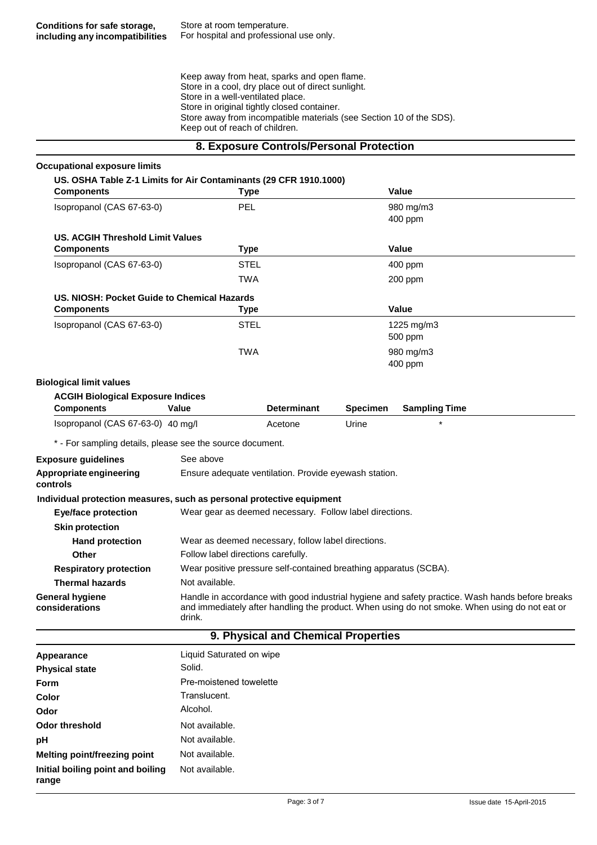Keep away from heat, sparks and open flame. Store in a cool, dry place out of direct sunlight. Store in a well-ventilated place. Store in original tightly closed container. Store away from incompatible materials (see Section 10 of the SDS). Keep out of reach of children.

#### **8. Exposure Controls/Personal Protection**

| <b>Occupational exposure limits</b>                                                    |                                                                   |                                     |                 |                                                                                                                                                                                                  |
|----------------------------------------------------------------------------------------|-------------------------------------------------------------------|-------------------------------------|-----------------|--------------------------------------------------------------------------------------------------------------------------------------------------------------------------------------------------|
| US. OSHA Table Z-1 Limits for Air Contaminants (29 CFR 1910.1000)<br><b>Components</b> | <b>Type</b>                                                       |                                     |                 | Value                                                                                                                                                                                            |
| Isopropanol (CAS 67-63-0)                                                              | <b>PEL</b>                                                        |                                     |                 | 980 mg/m3                                                                                                                                                                                        |
|                                                                                        |                                                                   |                                     |                 | 400 ppm                                                                                                                                                                                          |
| <b>US. ACGIH Threshold Limit Values</b>                                                |                                                                   |                                     |                 |                                                                                                                                                                                                  |
| <b>Components</b>                                                                      | <b>Type</b>                                                       |                                     |                 | Value                                                                                                                                                                                            |
| Isopropanol (CAS 67-63-0)                                                              | <b>STEL</b>                                                       |                                     |                 | 400 ppm                                                                                                                                                                                          |
|                                                                                        | TWA                                                               |                                     |                 | 200 ppm                                                                                                                                                                                          |
| US. NIOSH: Pocket Guide to Chemical Hazards                                            |                                                                   |                                     |                 |                                                                                                                                                                                                  |
| <b>Components</b>                                                                      | Type                                                              |                                     |                 | Value                                                                                                                                                                                            |
| Isopropanol (CAS 67-63-0)                                                              | <b>STEL</b>                                                       |                                     |                 | 1225 mg/m3                                                                                                                                                                                       |
|                                                                                        |                                                                   |                                     |                 | 500 ppm                                                                                                                                                                                          |
|                                                                                        | <b>TWA</b>                                                        |                                     |                 | 980 mg/m3                                                                                                                                                                                        |
|                                                                                        |                                                                   |                                     |                 | 400 ppm                                                                                                                                                                                          |
| <b>Biological limit values</b>                                                         |                                                                   |                                     |                 |                                                                                                                                                                                                  |
| <b>ACGIH Biological Exposure Indices</b>                                               |                                                                   |                                     |                 |                                                                                                                                                                                                  |
| <b>Components</b>                                                                      | Value                                                             | <b>Determinant</b>                  | <b>Specimen</b> | <b>Sampling Time</b>                                                                                                                                                                             |
| Isopropanol (CAS 67-63-0) 40 mg/l                                                      |                                                                   | Acetone                             | Urine           |                                                                                                                                                                                                  |
| * - For sampling details, please see the source document.                              |                                                                   |                                     |                 |                                                                                                                                                                                                  |
| <b>Exposure guidelines</b>                                                             | See above                                                         |                                     |                 |                                                                                                                                                                                                  |
| Appropriate engineering<br>controls                                                    | Ensure adequate ventilation. Provide eyewash station.             |                                     |                 |                                                                                                                                                                                                  |
| Individual protection measures, such as personal protective equipment                  |                                                                   |                                     |                 |                                                                                                                                                                                                  |
| <b>Eye/face protection</b>                                                             | Wear gear as deemed necessary. Follow label directions.           |                                     |                 |                                                                                                                                                                                                  |
| <b>Skin protection</b>                                                                 |                                                                   |                                     |                 |                                                                                                                                                                                                  |
| <b>Hand protection</b>                                                                 | Wear as deemed necessary, follow label directions.                |                                     |                 |                                                                                                                                                                                                  |
| <b>Other</b>                                                                           | Follow label directions carefully.                                |                                     |                 |                                                                                                                                                                                                  |
| <b>Respiratory protection</b>                                                          | Wear positive pressure self-contained breathing apparatus (SCBA). |                                     |                 |                                                                                                                                                                                                  |
| <b>Thermal hazards</b>                                                                 | Not available.                                                    |                                     |                 |                                                                                                                                                                                                  |
| <b>General hygiene</b><br>considerations                                               | drink.                                                            |                                     |                 | Handle in accordance with good industrial hygiene and safety practice. Wash hands before breaks<br>and immediately after handling the product. When using do not smoke. When using do not eat or |
|                                                                                        |                                                                   | 9. Physical and Chemical Properties |                 |                                                                                                                                                                                                  |
| Appearance                                                                             | Liquid Saturated on wipe                                          |                                     |                 |                                                                                                                                                                                                  |
| <b>Physical state</b>                                                                  | Solid.                                                            |                                     |                 |                                                                                                                                                                                                  |
| Form                                                                                   | Pre-moistened towelette                                           |                                     |                 |                                                                                                                                                                                                  |
| <b>Color</b>                                                                           | Translucent.                                                      |                                     |                 |                                                                                                                                                                                                  |
| Odor                                                                                   | Alcohol.                                                          |                                     |                 |                                                                                                                                                                                                  |

**Odor threshold** Not available.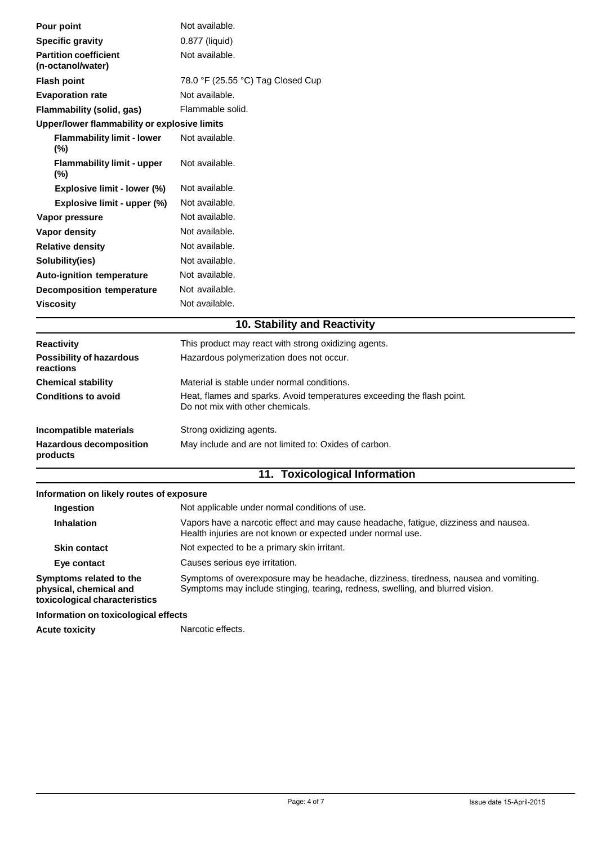| Pour point                                        | Not available.                    |
|---------------------------------------------------|-----------------------------------|
| <b>Specific gravity</b>                           | 0.877 (liquid)                    |
| <b>Partition coefficient</b><br>(n-octanol/water) | Not available.                    |
| <b>Flash point</b>                                | 78.0 °F (25.55 °C) Tag Closed Cup |
| <b>Evaporation rate</b>                           | Not available.                    |
| Flammability (solid, gas)                         | Flammable solid.                  |
| Upper/lower flammability or explosive limits      |                                   |
| <b>Flammability limit - lower</b><br>$(\%)$       | Not available.                    |
| <b>Flammability limit - upper</b><br>$(\%)$       | Not available.                    |
| Explosive limit - lower (%)                       | Not available.                    |
| Explosive limit - upper (%)                       | Not available.                    |
| Vapor pressure                                    | Not available.                    |
| Vapor density                                     | Not available.                    |
| <b>Relative density</b>                           | Not available.                    |
| Solubility(ies)                                   | Not available.                    |
| <b>Auto-ignition temperature</b>                  | Not available.                    |
| <b>Decomposition temperature</b>                  | Not available.                    |
| <b>Viscosity</b>                                  | Not available.                    |

## **10. Stability and Reactivity**

| <b>Reactivity</b>                          | This product may react with strong oxidizing agents.                                                       |
|--------------------------------------------|------------------------------------------------------------------------------------------------------------|
| Possibility of hazardous<br>reactions      | Hazardous polymerization does not occur.                                                                   |
| <b>Chemical stability</b>                  | Material is stable under normal conditions.                                                                |
| <b>Conditions to avoid</b>                 | Heat, flames and sparks. Avoid temperatures exceeding the flash point.<br>Do not mix with other chemicals. |
| Incompatible materials                     | Strong oxidizing agents.                                                                                   |
| <b>Hazardous decomposition</b><br>products | May include and are not limited to: Oxides of carbon.                                                      |

# **11. Toxicological Information**

### **Information on likely routes of exposure**

| Ingestion                                                                          | Not applicable under normal conditions of use.                                                                                                                         |  |  |
|------------------------------------------------------------------------------------|------------------------------------------------------------------------------------------------------------------------------------------------------------------------|--|--|
| <b>Inhalation</b>                                                                  | Vapors have a narcotic effect and may cause headache, fatigue, dizziness and nausea.<br>Health injuries are not known or expected under normal use.                    |  |  |
| <b>Skin contact</b>                                                                | Not expected to be a primary skin irritant.                                                                                                                            |  |  |
| Eye contact                                                                        | Causes serious eve irritation.                                                                                                                                         |  |  |
| Symptoms related to the<br>physical, chemical and<br>toxicological characteristics | Symptoms of overexposure may be headache, dizziness, tiredness, nausea and vomiting.<br>Symptoms may include stinging, tearing, redness, swelling, and blurred vision. |  |  |

### **Information on toxicological effects**

Acute toxicity **National Manual Property** Narcotic effects.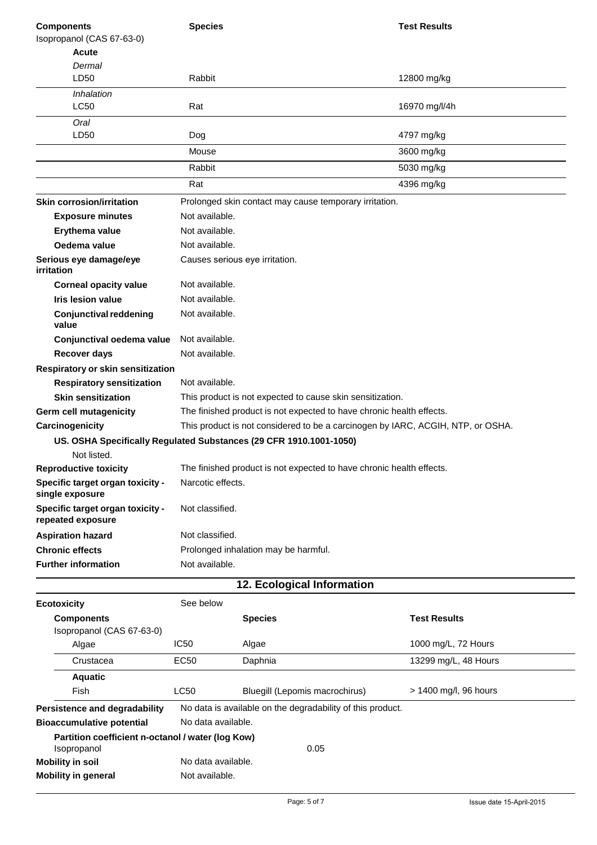| <b>Components</b>                                                  | <b>Species</b>                                                                  |                                                                      | <b>Test Results</b>   |
|--------------------------------------------------------------------|---------------------------------------------------------------------------------|----------------------------------------------------------------------|-----------------------|
| Isopropanol (CAS 67-63-0)                                          |                                                                                 |                                                                      |                       |
| Acute<br>Dermal                                                    |                                                                                 |                                                                      |                       |
| LD50                                                               | Rabbit                                                                          |                                                                      | 12800 mg/kg           |
| <i><b>Inhalation</b></i>                                           |                                                                                 |                                                                      |                       |
| LC50                                                               | Rat                                                                             |                                                                      | 16970 mg/l/4h         |
| Oral<br>LD50                                                       | Dog                                                                             |                                                                      | 4797 mg/kg            |
|                                                                    | Mouse                                                                           |                                                                      | 3600 mg/kg            |
|                                                                    | Rabbit                                                                          |                                                                      | 5030 mg/kg            |
|                                                                    | Rat                                                                             |                                                                      | 4396 mg/kg            |
| <b>Skin corrosion/irritation</b>                                   |                                                                                 | Prolonged skin contact may cause temporary irritation.               |                       |
| <b>Exposure minutes</b>                                            | Not available.                                                                  |                                                                      |                       |
| Erythema value                                                     | Not available.                                                                  |                                                                      |                       |
| Oedema value                                                       | Not available.                                                                  |                                                                      |                       |
| Serious eye damage/eye<br>irritation                               | Causes serious eye irritation.                                                  |                                                                      |                       |
| <b>Corneal opacity value</b>                                       | Not available.                                                                  |                                                                      |                       |
| <b>Iris lesion value</b>                                           | Not available.                                                                  |                                                                      |                       |
| <b>Conjunctival reddening</b><br>value                             | Not available.                                                                  |                                                                      |                       |
| Conjunctival oedema value                                          | Not available.                                                                  |                                                                      |                       |
| <b>Recover days</b>                                                | Not available.                                                                  |                                                                      |                       |
| Respiratory or skin sensitization                                  |                                                                                 |                                                                      |                       |
| <b>Respiratory sensitization</b>                                   | Not available.                                                                  |                                                                      |                       |
| <b>Skin sensitization</b>                                          |                                                                                 | This product is not expected to cause skin sensitization.            |                       |
| Germ cell mutagenicity                                             | The finished product is not expected to have chronic health effects.            |                                                                      |                       |
| Carcinogenicity                                                    | This product is not considered to be a carcinogen by IARC, ACGIH, NTP, or OSHA. |                                                                      |                       |
| US. OSHA Specifically Regulated Substances (29 CFR 1910.1001-1050) |                                                                                 |                                                                      |                       |
| Not listed.                                                        |                                                                                 |                                                                      |                       |
| <b>Reproductive toxicity</b>                                       |                                                                                 | The finished product is not expected to have chronic health effects. |                       |
| Specific target organ toxicity -<br>single exposure                | Narcotic effects.                                                               |                                                                      |                       |
| Specific target organ toxicity -<br>repeated exposure              | Not classified.                                                                 |                                                                      |                       |
| <b>Aspiration hazard</b>                                           | Not classified.                                                                 |                                                                      |                       |
| <b>Chronic effects</b>                                             | Prolonged inhalation may be harmful.                                            |                                                                      |                       |
| <b>Further information</b>                                         | Not available.                                                                  |                                                                      |                       |
|                                                                    |                                                                                 | 12. Ecological Information                                           |                       |
| <b>Ecotoxicity</b>                                                 | See below                                                                       |                                                                      |                       |
| <b>Components</b>                                                  |                                                                                 | <b>Species</b>                                                       | <b>Test Results</b>   |
| Isopropanol (CAS 67-63-0)                                          |                                                                                 |                                                                      |                       |
| Algae                                                              | <b>IC50</b>                                                                     | Algae                                                                | 1000 mg/L, 72 Hours   |
| Crustacea                                                          | <b>EC50</b>                                                                     | Daphnia                                                              | 13299 mg/L, 48 Hours  |
| <b>Aquatic</b>                                                     |                                                                                 |                                                                      |                       |
| Fish                                                               | LC50                                                                            | Bluegill (Lepomis macrochirus)                                       | > 1400 mg/l, 96 hours |
| <b>Persistence and degradability</b>                               |                                                                                 | No data is available on the degradability of this product.           |                       |
| <b>Bioaccumulative potential</b>                                   | No data available.                                                              |                                                                      |                       |
| Partition coefficient n-octanol / water (log Kow)<br>Isopropanol   |                                                                                 | 0.05                                                                 |                       |
| <b>Mobility in soil</b>                                            | No data available.                                                              |                                                                      |                       |
| <b>Mobility in general</b>                                         | Not available.                                                                  |                                                                      |                       |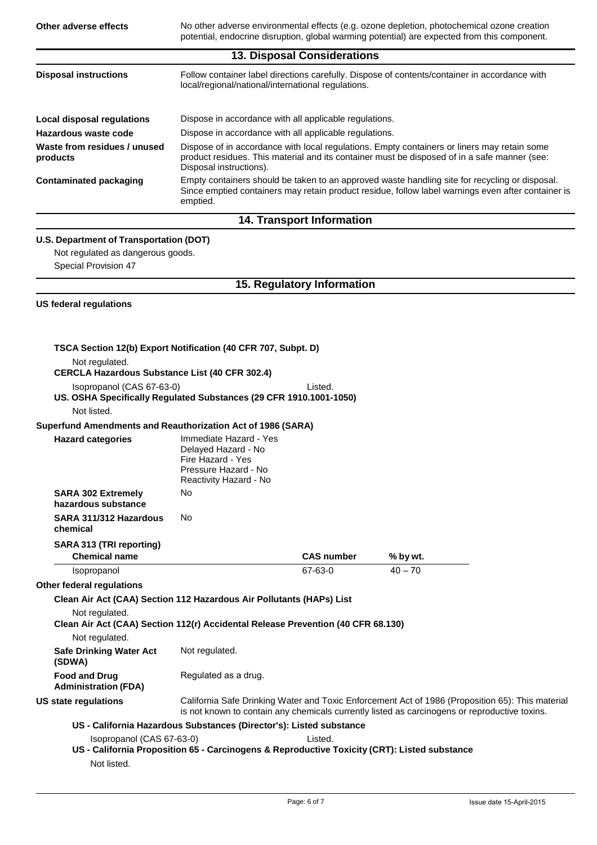**Other adverse effects** No other adverse environmental effects (e.g. ozone depletion, photochemical ozone creation potential, endocrine disruption, global warming potential) are expected from this component. **13. Disposal Considerations Disposal instructions** Follow container label directions carefully. Dispose of contents/container in accordance with local/regional/national/international regulations. **Local disposal regulations** Dispose in accordance with all applicable regulations. **Hazardous waste code** Dispose in accordance with all applicable regulations. **Waste from residues / unused products** Dispose of in accordance with local regulations. Empty containers or liners may retain some product residues. This material and its container must be disposed of in a safe manner (see: Disposal instructions). **Contaminated packaging** Empty containers should be taken to an approved waste handling site for recycling or disposal. Since emptied containers may retain product residue, follow label warnings even after container is

#### **14. Transport Information**

#### **U.S. Department of Transportation (DOT)**

emptied.

Not regulated as dangerous goods. Special Provision 47

#### **15. Regulatory Information**

#### **US federal regulations**

| TSCA Section 12(b) Export Notification (40 CFR 707, Subpt. D)                                      |                                                                                                                      |                   |                                                                                                                                                                                                   |  |
|----------------------------------------------------------------------------------------------------|----------------------------------------------------------------------------------------------------------------------|-------------------|---------------------------------------------------------------------------------------------------------------------------------------------------------------------------------------------------|--|
| Not regulated.<br><b>CERCLA Hazardous Substance List (40 CFR 302.4)</b>                            |                                                                                                                      |                   |                                                                                                                                                                                                   |  |
| Isopropanol (CAS 67-63-0)<br>US. OSHA Specifically Regulated Substances (29 CFR 1910.1001-1050)    |                                                                                                                      | Listed.           |                                                                                                                                                                                                   |  |
| Not listed.                                                                                        |                                                                                                                      |                   |                                                                                                                                                                                                   |  |
| Superfund Amendments and Reauthorization Act of 1986 (SARA)                                        |                                                                                                                      |                   |                                                                                                                                                                                                   |  |
| <b>Hazard categories</b>                                                                           | Immediate Hazard - Yes<br>Delayed Hazard - No<br>Fire Hazard - Yes<br>Pressure Hazard - No<br>Reactivity Hazard - No |                   |                                                                                                                                                                                                   |  |
| <b>SARA 302 Extremely</b><br>hazardous substance                                                   | No                                                                                                                   |                   |                                                                                                                                                                                                   |  |
| SARA 311/312 Hazardous<br>chemical                                                                 | No.                                                                                                                  |                   |                                                                                                                                                                                                   |  |
| SARA 313 (TRI reporting)<br><b>Chemical name</b>                                                   |                                                                                                                      | <b>CAS number</b> | % by wt.                                                                                                                                                                                          |  |
| Isopropanol                                                                                        |                                                                                                                      | 67-63-0           | $40 - 70$                                                                                                                                                                                         |  |
| <b>Other federal regulations</b>                                                                   |                                                                                                                      |                   |                                                                                                                                                                                                   |  |
| Clean Air Act (CAA) Section 112 Hazardous Air Pollutants (HAPs) List                               |                                                                                                                      |                   |                                                                                                                                                                                                   |  |
| Not regulated.<br>Clean Air Act (CAA) Section 112(r) Accidental Release Prevention (40 CFR 68.130) |                                                                                                                      |                   |                                                                                                                                                                                                   |  |
| Not regulated.                                                                                     |                                                                                                                      |                   |                                                                                                                                                                                                   |  |
| <b>Safe Drinking Water Act</b><br>(SDWA)                                                           | Not regulated.                                                                                                       |                   |                                                                                                                                                                                                   |  |
| <b>Food and Drug</b><br><b>Administration (FDA)</b>                                                | Regulated as a drug.                                                                                                 |                   |                                                                                                                                                                                                   |  |
| US state regulations                                                                               |                                                                                                                      |                   | California Safe Drinking Water and Toxic Enforcement Act of 1986 (Proposition 65): This material<br>is not known to contain any chemicals currently listed as carcinogens or reproductive toxins. |  |
|                                                                                                    | US - California Hazardous Substances (Director's): Listed substance                                                  |                   |                                                                                                                                                                                                   |  |
| Isopropanol (CAS 67-63-0)                                                                          | US - California Proposition 65 - Carcinogens & Reproductive Toxicity (CRT): Listed substance                         | Listed.           |                                                                                                                                                                                                   |  |
| Not listed.                                                                                        |                                                                                                                      |                   |                                                                                                                                                                                                   |  |